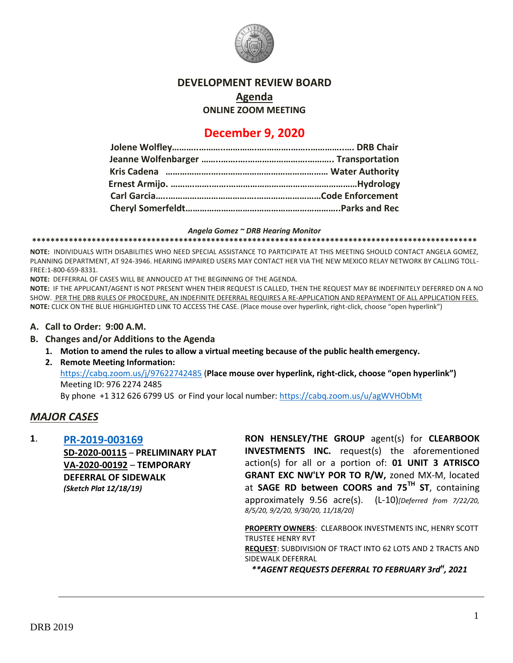

#### **DEVELOPMENT REVIEW BOARD**

**Agenda**

**ONLINE ZOOM MEETING**

# **December 9, 2020**

#### *Angela Gomez ~ DRB Hearing Monitor*

**\*\*\*\*\*\*\*\*\*\*\*\*\*\*\*\*\*\*\*\*\*\*\*\*\*\*\*\*\*\*\*\*\*\*\*\*\*\*\*\*\*\*\*\*\*\*\*\*\*\*\*\*\*\*\*\*\*\*\*\*\*\*\*\*\*\*\*\*\*\*\*\*\*\*\*\*\*\*\*\*\*\*\*\*\*\*\*\*\*\*\*\*\*\*\*\*\***

**NOTE:** INDIVIDUALS WITH DISABILITIES WHO NEED SPECIAL ASSISTANCE TO PARTICIPATE AT THIS MEETING SHOULD CONTACT ANGELA GOMEZ, PLANNING DEPARTMENT, AT 924-3946. HEARING IMPAIRED USERS MAY CONTACT HER VIA THE NEW MEXICO RELAY NETWORK BY CALLING TOLL-FREE:1-800-659-8331.

**NOTE:** DEFFERRAL OF CASES WILL BE ANNOUCED AT THE BEGINNING OF THE AGENDA.

**NOTE:** IF THE APPLICANT/AGENT IS NOT PRESENT WHEN THEIR REQUEST IS CALLED, THEN THE REQUEST MAY BE INDEFINITELY DEFERRED ON A NO SHOW. PER THE DRB RULES OF PROCEDURE, AN INDEFINITE DEFERRAL REQUIRES A RE-APPLICATION AND REPAYMENT OF ALL APPLICATION FEES. **NOTE:** CLICK ON THE BLUE HIGHLIGHTED LINK TO ACCESS THE CASE. (Place mouse over hyperlink, right-click, choose "open hyperlink")

#### **A. Call to Order: 9:00 A.M.**

- **B. Changes and/or Additions to the Agenda**
	- **1. Motion to amend the rules to allow a virtual meeting because of the public health emergency.**
	- **2. Remote Meeting Information:**

<https://cabq.zoom.us/j/97622742485> (**Place mouse over hyperlink, right-click, choose "open hyperlink")** Meeting ID: 976 2274 2485 By phone +1 312 626 6799 US or Find your local number[: https://cabq.zoom.us/u/agWVHObMt](https://cabq.zoom.us/u/agWVHObMt)

# *MAJOR CASES*

**1**. **[PR-2019-003169](http://data.cabq.gov/government/planning/DRB/PR-2019-003169/DRB%20Submittals/)**

**SD-2020-00115** – **PRELIMINARY PLAT VA-2020-00192** – **TEMPORARY DEFERRAL OF SIDEWALK** *(Sketch Plat 12/18/19)*

**RON HENSLEY/THE GROUP** agent(s) for **CLEARBOOK INVESTMENTS INC.** request(s) the aforementioned action(s) for all or a portion of: **01 UNIT 3 ATRISCO GRANT EXC NW'LY POR TO R/W,** zoned MX-M, located at **SAGE RD between COORS and 75TH ST**, containing approximately 9.56 acre(s). (L-10)*[Deferred from 7/22/20, 8/5/20, 9/2/20, 9/30/20, 11/18/20]*

**PROPERTY OWNERS**: CLEARBOOK INVESTMENTS INC, HENRY SCOTT TRUSTEE HENRY RVT **REQUEST**: SUBDIVISION OF TRACT INTO 62 LOTS AND 2 TRACTS AND SIDEWALK DEFERRAL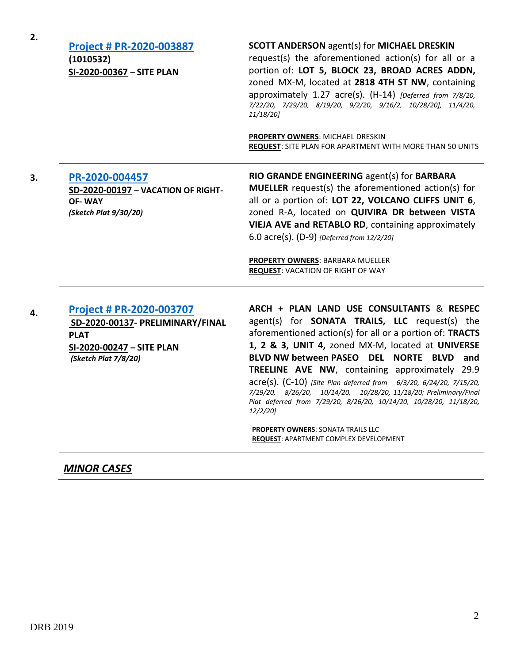**2.**

**[Project # PR-2020-003887](http://data.cabq.gov/government/planning/DRB/PR-2020-003887/DRB%20Submittals/) (1010532) SI-2020-00367** – **SITE PLAN**

#### **SCOTT ANDERSON** agent(s) for **MICHAEL DRESKIN**

request(s) the aforementioned action(s) for all or a portion of: **LOT 5, BLOCK 23, BROAD ACRES ADDN,** zoned MX-M, located at **2818 4TH ST NW**, containing approximately 1.27 acre(s). (H-14) *[Deferred from 7/8/20, 7/22/20, 7/29/20, 8/19/20, 9/2/20, 9/16/2, 10/28/20], 11/4/20, 11/18/20]*

**PROPERTY OWNERS**: MICHAEL DRESKIN **REQUEST**: SITE PLAN FOR APARTMENT WITH MORE THAN 50 UNITS

#### **3. [PR-2020-004457](http://data.cabq.gov/government/planning/DRB/PR-2020-004457/DRB%20Submittals/)**

**SD-2020-00197** – **VACATION OF RIGHT-OF- WAY** *(Sketch Plat 9/30/20)*

**RIO GRANDE ENGINEERING** agent(s) for **BARBARA MUELLER** request(s) the aforementioned action(s) for all or a portion of: **LOT 22, VOLCANO CLIFFS UNIT 6**, zoned R-A, located on **QUIVIRA DR between VISTA VIEJA AVE and RETABLO RD**, containing approximately 6.0 acre(s). (D-9) *{Deferred from 12/2/20]*

**PROPERTY OWNERS**: BARBARA MUELLER **REQUEST**: VACATION OF RIGHT OF WAY

# **4. [Project # PR-2020-003707](http://data.cabq.gov/government/planning/DRB/PR-2020-003707/DRB%20Submittals/)**

**SD-2020-00137- PRELIMINARY/FINAL PLAT SI-2020-00247 – SITE PLAN** *(Sketch Plat 7/8/20)*

**ARCH + PLAN LAND USE CONSULTANTS** & **RESPEC** agent(s) for **SONATA TRAILS, LLC** request(s) the aforementioned action(s) for all or a portion of: **TRACTS 1, 2 & 3, UNIT 4,** zoned MX-M, located at **UNIVERSE BLVD NW between PASEO DEL NORTE BLVD and TREELINE AVE NW**, containing approximately 29.9 acre(s). (C-10) *[Site Plan deferred from 6/3/20, 6/24/20, 7/15/20, 7/29/20, 8/26/20, 10/14/20, 10/28/20, 11/18/20; Preliminary/Final Plat deferred from 7/29/20, 8/26/20, 10/14/20, 10/28/20, 11/18/20, 12/2/20]*

**PROPERTY OWNERS**: SONATA TRAILS LLC **REQUEST**: APARTMENT COMPLEX DEVELOPMENT

# *MINOR CASES*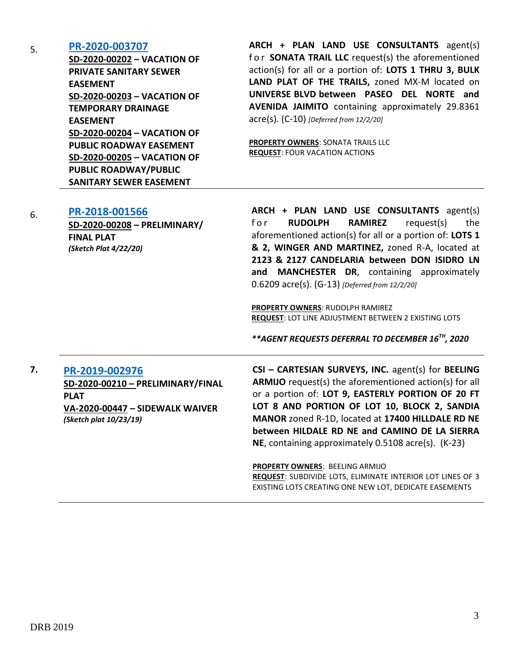# 5. **[PR-2020-003707](http://data.cabq.gov/government/planning/DRB/PR-2020-003707/DRB%20Submittals/)**

**SD-2020-00202 – VACATION OF PRIVATE SANITARY SEWER EASEMENT SD-2020-00203 – VACATION OF TEMPORARY DRAINAGE EASEMENT SD-2020-00204 – VACATION OF PUBLIC ROADWAY EASEMENT SD-2020-00205 – VACATION OF PUBLIC ROADWAY/PUBLIC SANITARY SEWER EASEMENT**

**ARCH + PLAN LAND USE CONSULTANTS** agent(s) f o r **SONATA TRAIL LLC** request(s) the aforementioned action(s) for all or a portion of: **LOTS 1 THRU 3, BULK LAND PLAT OF THE TRAILS,** zoned MX-M located on **UNIVERSE BLVD between PASEO DEL NORTE and AVENIDA JAIMITO** containing approximately 29.8361 acre(s). (C-10) *[Deferred from 12/2/20]*

**PROPERTY OWNERS**: SONATA TRAILS LLC **REQUEST**: FOUR VACATION ACTIONS

#### 6. **[PR-2018-001566](http://data.cabq.gov/government/planning/DRB/PR-2018-001566/DRB%20Submittals/PR2018-001566_Dec_02_2020/Application/DRB%20P%26F%20Arch%20%26%20Plan%20PR-2018-001566%20SD-2020-00208%20signed%20copy.pdf)**

**SD-2020-00208 – PRELIMINARY/ FINAL PLAT** *(Sketch Plat 4/22/20)*

**ARCH + PLAN LAND USE CONSULTANTS** agent(s) f o r **RUDOLPH RAMIREZ** request(s) the aforementioned action(s) for all or a portion of: **LOTS 1 & 2, WINGER AND MARTINEZ,** zoned R-A, located at **2123 & 2127 CANDELARIA between DON ISIDRO LN and MANCHESTER DR**, containing approximately 0.6209 acre(s). (G-13) *[Deferred from 12/2/20]*

**PROPERTY OWNERS**: RUDOLPH RAMIREZ **REQUEST**: LOT LINE ADJUSTMENT BETWEEN 2 EXISTING LOTS

*\*\*AGENT REQUESTS DEFERRAL TO DECEMBER 16TH, 2020*

#### **7. [PR-2019-002976](http://data.cabq.gov/government/planning/DRB/PR-2019-002976/DRB%20Submittals/PR-2019-002976_Dec_9_2020/Application/)**

**SD-2020-00210 – PRELIMINARY/FINAL PLAT VA-2020-00447 – SIDEWALK WAIVER** *(Sketch plat 10/23/19)*

**CSI – CARTESIAN SURVEYS, INC.** agent(s) for **BEELING ARMIJO** request(s) the aforementioned action(s) for all or a portion of: **LOT 9, EASTERLY PORTION OF 20 FT LOT 8 AND PORTION OF LOT 10, BLOCK 2, SANDIA MANOR** zoned R-1D, located at **17400 HILLDALE RD NE between HILDALE RD NE and CAMINO DE LA SIERRA NE**, containing approximately 0.5108 acre(s). (K-23)

**PROPERTY OWNERS**: BEELING ARMIJO **REQUEST**: SUBDIVIDE LOTS, ELIMINATE INTERIOR LOT LINES OF 3 EXISTING LOTS CREATING ONE NEW LOT, DEDICATE EASEMENTS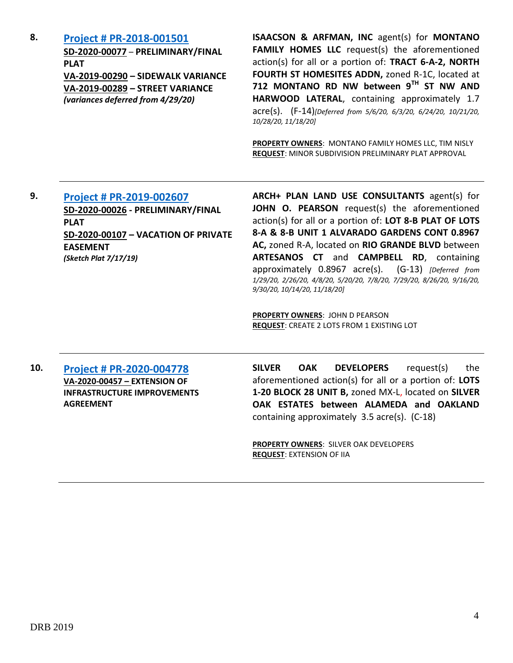#### **8. [Project # PR-2018-001501](http://data.cabq.gov/government/planning/DRB/PR-2018-001501/DRB%20Submittals/)**

**SD-2020-00077** – **PRELIMINARY/FINAL PLAT VA-2019-00290 – SIDEWALK VARIANCE VA-2019-00289 – STREET VARIANCE**  *(variances deferred from 4/29/20)*

**ISAACSON & ARFMAN, INC** agent(s) for **MONTANO FAMILY HOMES LLC** request(s) the aforementioned action(s) for all or a portion of: **TRACT 6-A-2, NORTH FOURTH ST HOMESITES ADDN,** zoned R-1C, located at **712 MONTANO RD NW between 9TH ST NW AND HARWOOD LATERAL**, containing approximately 1.7 acre(s). (F-14)*[Deferred from 5/6/20, 6/3/20, 6/24/20, 10/21/20, 10/28/20, 11/18/20]*

**PROPERTY OWNERS**: MONTANO FAMILY HOMES LLC, TIM NISLY **REQUEST**: MINOR SUBDIVISION PRELIMINARY PLAT APPROVAL

# **9. [Project # PR-2019-002607](http://data.cabq.gov/government/planning/DRB/PR-2019-002607/DRB%20Submittals/)**

**SD-2020-00026 - PRELIMINARY/FINAL PLAT SD-2020-00107 – VACATION OF PRIVATE EASEMENT** *(Sketch Plat 7/17/19)*

**ARCH+ PLAN LAND USE CONSULTANTS** agent(s) for **JOHN O. PEARSON** request(s) the aforementioned action(s) for all or a portion of: **LOT 8-B PLAT OF LOTS 8-A & 8-B UNIT 1 ALVARADO GARDENS CONT 0.8967 AC,** zoned R-A, located on **RIO GRANDE BLVD** between **ARTESANOS CT** and **CAMPBELL RD**, containing approximately 0.8967 acre(s). (G-13) *[Deferred from 1/29/20, 2/26/20, 4/8/20, 5/20/20, 7/8/20, 7/29/20, 8/26/20, 9/16/20, 9/30/20, 10/14/20, 11/18/20]*

**PROPERTY OWNERS**: JOHN D PEARSON **REQUEST**: CREATE 2 LOTS FROM 1 EXISTING LOT

**10. [Project # PR-2020-004778](http://data.cabq.gov/government/planning/DRB/PR-2020-004778/DRB%20Submittals/PR-2020-004778_Dec_9_2020/Application/SilverOakDRB%20(2).pdf) VA-2020-00457 – EXTENSION OF INFRASTRUCTURE IMPROVEMENTS AGREEMENT**

**SILVER OAK DEVELOPERS** request(s) the aforementioned action(s) for all or a portion of: **LOTS 1-20 BLOCK 28 UNIT B,** zoned MX-L, located on **SILVER OAK ESTATES between ALAMEDA and OAKLAND** containing approximately 3.5 acre(s). (C-18)

**PROPERTY OWNERS**: SILVER OAK DEVELOPERS **REQUEST**: EXTENSION OF IIA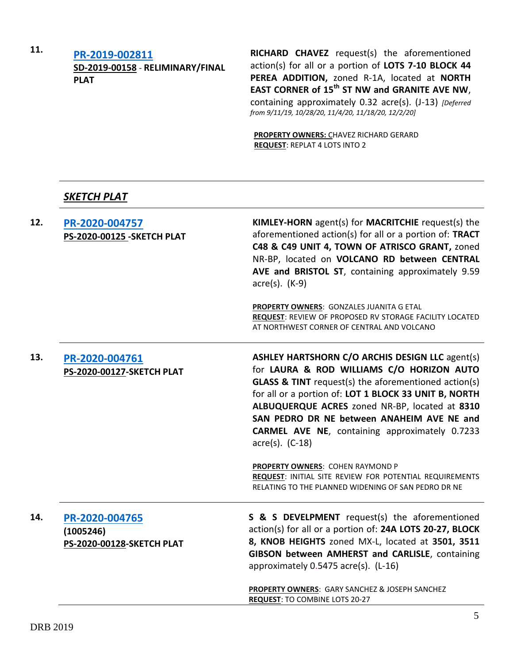**11.**

#### **[PR-2019-002811](http://data.cabq.gov/government/planning/DRB/PR-2019-002811/DRB%20Submittals/)**

**SD-2019-00158** - **RELIMINARY/FINAL PLAT**

**RICHARD CHAVEZ** request(s) the aforementioned action(s) for all or a portion of **LOTS 7-10 BLOCK 44 PEREA ADDITION,** zoned R-1A, located at **NORTH EAST CORNER of 15th ST NW and GRANITE AVE NW**, containing approximately 0.32 acre(s). (J-13) *[Deferred from 9/11/19, 10/28/20, 11/4/20, 11/18/20, 12/2/20]*

**PROPERTY OWNERS:** CHAVEZ RICHARD GERARD **REQUEST**: REPLAT 4 LOTS INTO 2

# *SKETCH PLAT*

#### **12. [PR-2020-004757](http://data.cabq.gov/government/planning/DRB/PR-2020-004757/DRB%20Submittals/PR-2020-004757_Dec_9_2020/Application/Sketch%20Plat%20-%20Compiled%20Package%20(2).pdf) PS-2020-00125 -SKETCH PLAT KIMLEY-HORN** agent(s) for **MACRITCHIE** request(s) the aforementioned action(s) for all or a portion of: **TRACT C48 & C49 UNIT 4, TOWN OF ATRISCO GRANT,** zoned NR-BP, located on **VOLCANO RD between CENTRAL AVE and BRISTOL ST**, containing approximately 9.59 acre(s). (K-9) **PROPERTY OWNERS**: GONZALES JUANITA G ETAL **REQUEST**: REVIEW OF PROPOSED RV STORAGE FACILITY LOCATED AT NORTHWEST CORNER OF CENTRAL AND VOLCANO **13. [PR-2020-004761](http://data.cabq.gov/government/planning/DRB/PR-2020-004761/DRB%20Submittals/Pr-2020-004761_Dec_09_2020/Application/DRB%20SK%20ARCHIS%20PR-2020-004761%20PS-2020-00127%20signed%20copy.pdf) PS-2020-00127-SKETCH PLAT ASHLEY HARTSHORN C/O ARCHIS DESIGN LLC** agent(s) for **LAURA & ROD WILLIAMS C/O HORIZON AUTO GLASS & TINT** request(s) the aforementioned action(s) for all or a portion of: **LOT 1 BLOCK 33 UNIT B, NORTH ALBUQUERQUE ACRES** zoned NR-BP, located at **8310 SAN PEDRO DR NE between ANAHEIM AVE NE and CARMEL AVE NE**, containing approximately 0.7233 acre(s). (C-18) **PROPERTY OWNERS**: COHEN RAYMOND P **REQUEST**: INITIAL SITE REVIEW FOR POTENTIAL REQUIREMENTS RELATING TO THE PLANNED WIDENING OF SAN PEDRO DR NE **14. [PR-2020-004765](http://data.cabq.gov/government/planning/DRB/PR-2020-004765/PR-2020-4765_Dec_9_2020/DRB%20SK%20S&S%20DEVELOPMENT%20PR-2020-004765%20PS-2020-00128%20signed%20copy.pdf) (1005246) PS-2020-00128-SKETCH PLAT S & S DEVELPMENT** request(s) the aforementioned action(s) for all or a portion of: **24A LOTS 20-27, BLOCK 8, KNOB HEIGHTS** zoned MX-L, located at **3501, 3511 GIBSON between AMHERST and CARLISLE**, containing approximately 0.5475 acre(s). (L-16) **PROPERTY OWNERS**: GARY SANCHEZ & JOSEPH SANCHEZ **REQUEST**: TO COMBINE LOTS 20-27